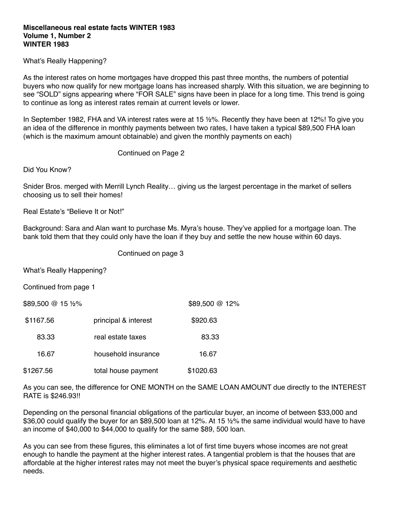## **Miscellaneous real estate facts WINTER 1983 Volume 1, Number 2 WINTER 1983**

What's Really Happening?

As the interest rates on home mortgages have dropped this past three months, the numbers of potential buyers who now qualify for new mortgage loans has increased sharply. With this situation, we are beginning to see "SOLD" signs appearing where "FOR SALE" signs have been in place for a long time. This trend is going to continue as long as interest rates remain at current levels or lower.

In September 1982, FHA and VA interest rates were at 15 ½%. Recently they have been at 12%! To give you an idea of the difference in monthly payments between two rates, I have taken a typical \$89,500 FHA loan (which is the maximum amount obtainable) and given the monthly payments on each)

Continued on Page 2

Did You Know?

Snider Bros. merged with Merrill Lynch Reality… giving us the largest percentage in the market of sellers choosing us to sell their homes!

Real Estate's "Believe It or Not!"

Background: Sara and Alan want to purchase Ms. Myra's house. They've applied for a mortgage loan. The bank told them that they could only have the loan if they buy and settle the new house within 60 days.

Continued on page 3

What's Really Happening?

Continued from page 1

 $$89,500 \t@ 15 \t%$  \$89,500  $@ 12\%$ 

| \$1167.56 | principal & interest | \$920.63  |
|-----------|----------------------|-----------|
| 83.33     | real estate taxes    | 83.33     |
| 16.67     | household insurance  | 16.67     |
| \$1267.56 | total house payment  | \$1020.63 |

As you can see, the difference for ONE MONTH on the SAME LOAN AMOUNT due directly to the INTEREST RATE is \$246.93!!

Depending on the personal financial obligations of the particular buyer, an income of between \$33,000 and \$36,00 could qualify the buyer for an \$89,500 loan at 12%. At 15 ½% the same individual would have to have an income of \$40,000 to \$44,000 to qualify for the same \$89, 500 loan.

As you can see from these figures, this eliminates a lot of first time buyers whose incomes are not great enough to handle the payment at the higher interest rates. A tangential problem is that the houses that are affordable at the higher interest rates may not meet the buyer's physical space requirements and aesthetic needs.